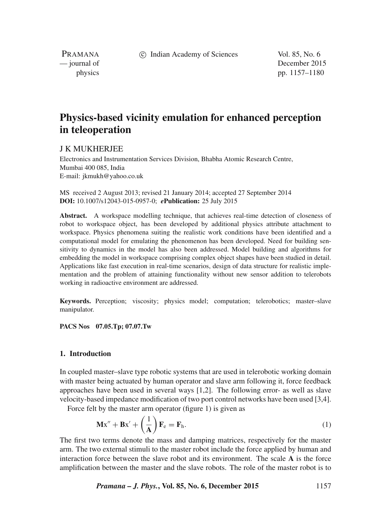c Indian Academy of Sciences Vol. 85, No. 6

PRAMANA<br>
— journal of

December 2015 physics pp. 1157–1180

# **Physics-based vicinity emulation for enhanced perception in teleoperation**

# J K MUKHERJEE

Electronics and Instrumentation Services Division, Bhabha Atomic Research Centre, Mumbai 400 085, India E-mail: jkmukh@yahoo.co.uk

MS received 2 August 2013; revised 21 January 2014; accepted 27 September 2014 **DOI:** 10.1007/s12043-015-0957-0; *e***Publication:** 25 July 2015

**Abstract.** A workspace modelling technique, that achieves real-time detection of closeness of robot to workspace object, has been developed by additional physics attribute attachment to workspace. Physics phenomena suiting the realistic work conditions have been identified and a computational model for emulating the phenomenon has been developed. Need for building sensitivity to dynamics in the model has also been addressed. Model building and algorithms for embedding the model in workspace comprising complex object shapes have been studied in detail. Applications like fast execution in real-time scenarios, design of data structure for realistic implementation and the problem of attaining functionality without new sensor addition to telerobots working in radioactive environment are addressed.

**Keywords.** Perception; viscosity; physics model; computation; telerobotics; master–slave manipulator.

**PACS Nos 07.05.Tp; 07.07.Tw**

#### **1. Introduction**

In coupled master–slave type robotic systems that are used in telerobotic working domain with master being actuated by human operator and slave arm following it, force feedback approaches have been used in several ways [1,2]. The following error- as well as slave velocity-based impedance modification of two port control networks have been used [3,4].

Force felt by the master arm operator (figure 1) is given as

$$
\mathbf{Mx}'' + \mathbf{Bx}' + \left(\frac{1}{\mathbf{A}}\right)\mathbf{F}_e = \mathbf{F}_h. \tag{1}
$$

The first two terms denote the mass and damping matrices, respectively for the master arm. The two external stimuli to the master robot include the force applied by human and interaction force between the slave robot and its environment. The scale **A** is the force amplification between the master and the slave robots. The role of the master robot is to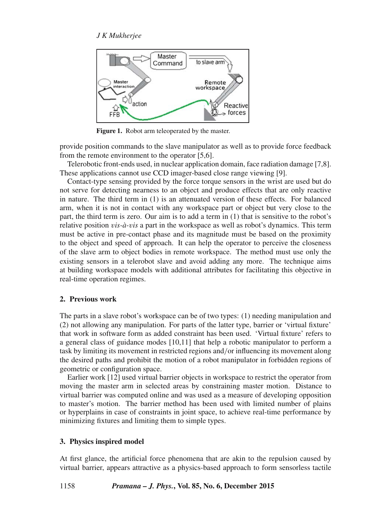

**Figure 1.** Robot arm teleoperated by the master.

provide position commands to the slave manipulator as well as to provide force feedback from the remote environment to the operator [5,6].

Telerobotic front-ends used, in nuclear application domain, face radiation damage [7,8]. These applications cannot use CCD imager-based close range viewing [9].

Contact-type sensing provided by the force torque sensors in the wrist are used but do not serve for detecting nearness to an object and produce effects that are only reactive in nature. The third term in (1) is an attenuated version of these effects. For balanced arm, when it is not in contact with any workspace part or object but very close to the part, the third term is zero. Our aim is to add a term in (1) that is sensitive to the robot's relative position v*is-à-*v*is* a part in the workspace as well as robot's dynamics. This term must be active in pre-contact phase and its magnitude must be based on the proximity to the object and speed of approach. It can help the operator to perceive the closeness of the slave arm to object bodies in remote workspace. The method must use only the existing sensors in a telerobot slave and avoid adding any more. The technique aims at building workspace models with additional attributes for facilitating this objective in real-time operation regimes.

# **2. Previous work**

The parts in a slave robot's workspace can be of two types: (1) needing manipulation and (2) not allowing any manipulation. For parts of the latter type, barrier or 'virtual fixture' that work in software form as added constraint has been used. 'Virtual fixture' refers to a general class of guidance modes [10,11] that help a robotic manipulator to perform a task by limiting its movement in restricted regions and/or influencing its movement along the desired paths and prohibit the motion of a robot manipulator in forbidden regions of geometric or configuration space.

Earlier work [12] used virtual barrier objects in workspace to restrict the operator from moving the master arm in selected areas by constraining master motion. Distance to virtual barrier was computed online and was used as a measure of developing opposition to master's motion. The barrier method has been used with limited number of plains or hyperplains in case of constraints in joint space, to achieve real-time performance by minimizing fixtures and limiting them to simple types.

# **3. Physics inspired model**

At first glance, the artificial force phenomena that are akin to the repulsion caused by virtual barrier, appears attractive as a physics-based approach to form sensorless tactile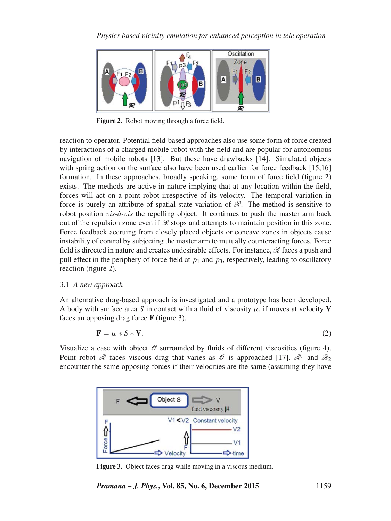

**Figure 2.** Robot moving through a force field.

reaction to operator. Potential field-based approaches also use some form of force created by interactions of a charged mobile robot with the field and are popular for autonomous navigation of mobile robots [13]. But these have drawbacks [14]. Simulated objects with spring action on the surface also have been used earlier for force feedback [15,16] formation. In these approaches, broadly speaking, some form of force field (figure 2) exists. The methods are active in nature implying that at any location within the field, forces will act on a point robot irrespective of its velocity. The temporal variation in force is purely an attribute of spatial state variation of  $\mathcal{R}$ . The method is sensitive to robot position v*is-à-*v*is* the repelling object. It continues to push the master arm back out of the repulsion zone even if  $\mathcal R$  stops and attempts to maintain position in this zone. Force feedback accruing from closely placed objects or concave zones in objects cause instability of control by subjecting the master arm to mutually counteracting forces. Force field is directed in nature and creates undesirable effects. For instance,  $\mathscr R$  faces a push and pull effect in the periphery of force field at  $p_1$  and  $p_3$ , respectively, leading to oscillatory reaction (figure 2).

# 3.1 *A new approach*

An alternative drag-based approach is investigated and a prototype has been developed. A body with surface area S in contact with a fluid of viscosity  $\mu$ , if moves at velocity **V** faces an opposing drag force **F** (figure 3).

$$
\mathbf{F} = \mu * S * \mathbf{V}.\tag{2}
$$

Visualize a case with object  $\mathcal O$  surrounded by fluids of different viscosities (figure 4). Point robot  $\mathscr R$  faces viscous drag that varies as  $\mathscr O$  is approached [17].  $\mathscr R_1$  and  $\mathscr R_2$ encounter the same opposing forces if their velocities are the same (assuming they have



**Figure 3.** Object faces drag while moving in a viscous medium.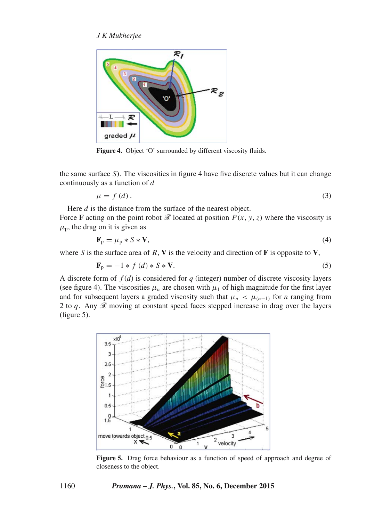

**Figure 4.** Object 'O' surrounded by different viscosity fluids.

the same surface  $S$ ). The viscosities in figure 4 have five discrete values but it can change continuously as a function of d

$$
\mu = f(d). \tag{3}
$$

Here *d* is the distance from the surface of the nearest object.

Force **F** acting on the point robot  $\mathcal{R}$  located at position  $P(x, y, z)$  where the viscosity is  $\mu_p$ , the drag on it is given as

$$
\mathbf{F}_{\mathrm{p}} = \mu_{\mathrm{p}} * S * \mathbf{V},\tag{4}
$$

where S is the surface area of R, **V** is the velocity and direction of **F** is opposite to **V**,

$$
\mathbf{F}_{\mathbf{p}} = -1 * f(d) * S * \mathbf{V}.
$$
 (5)

A discrete form of  $f(d)$  is considered for  $q$  (integer) number of discrete viscosity layers (see figure 4). The viscosities  $\mu_n$  are chosen with  $\mu_1$  of high magnitude for the first layer and for subsequent layers a graded viscosity such that  $\mu_n < \mu_{(n-1)}$  for *n* ranging from 2 to q. Any  $\mathcal R$  moving at constant speed faces stepped increase in drag over the layers (figure 5).



**Figure 5.** Drag force behaviour as a function of speed of approach and degree of closeness to the object.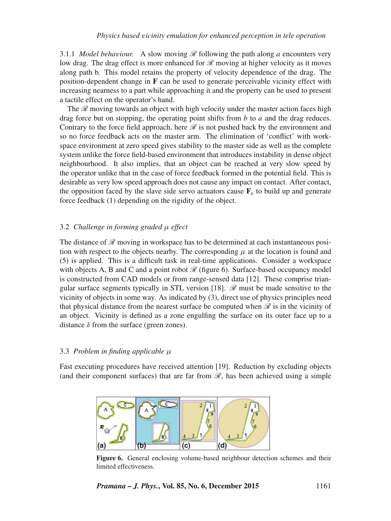3.1.1 *Model behaviour.* A slow moving  $\mathcal{R}$  following the path along a encounters very low drag. The drag effect is more enhanced for  $\mathcal{R}$  moving at higher velocity as it moves along path b. This model retains the property of velocity dependence of the drag. The position-dependent change in **F** can be used to generate perceivable vicinity effect with increasing nearness to a part while approaching it and the property can be used to present a tactile effect on the operator's hand.

The  $\mathcal{R}$  moving towards an object with high velocity under the master action faces high drag force but on stopping, the operating point shifts from  $b$  to  $a$  and the drag reduces. Contrary to the force field approach, here  $\mathcal R$  is not pushed back by the environment and so no force feedback acts on the master arm. The elimination of 'conflict' with workspace environment at zero speed gives stability to the master side as well as the complete system unlike the force field-based environment that introduces instability in dense object neighbourhood. It also implies, that an object can be reached at very slow speed by the operator unlike that in the case of force feedback formed in the potential field. This is desirable as very low speed approach does not cause any impact on contact. After contact, the opposition faced by the slave side servo actuators cause  $\mathbf{F}_e$  to build up and generate force feedback (1) depending on the rigidity of the object.

## 3.2 *Challenge in forming graded* μ *effect*

The distance of  $\mathscr R$  moving in workspace has to be determined at each instantaneous position with respect to the objects nearby. The corresponding  $\mu$  at the location is found and (5) is applied. This is a difficult task in real-time applications. Consider a workspace with objects A, B and C and a point robot  $\mathcal{R}$  (figure 6). Surface-based occupancy model is constructed from CAD models or from range-sensed data [12]. These comprise triangular surface segments typically in STL version [18].  $\mathcal{R}$  must be made sensitive to the vicinity of objects in some way. As indicated by (3), direct use of physics principles need that physical distance from the nearest surface be computed when  $\mathcal R$  is in the vicinity of an object. Vicinity is defined as a zone engulfing the surface on its outer face up to a distance  $\delta$  from the surface (green zones).

# 3.3 *Problem in finding applicable* μ

Fast executing procedures have received attention [19]. Reduction by excluding objects (and their component surfaces) that are far from  $\mathcal{R}$ , has been achieved using a simple



**Figure 6.** General enclosing volume-based neighbour detection schemes and their limited effectiveness.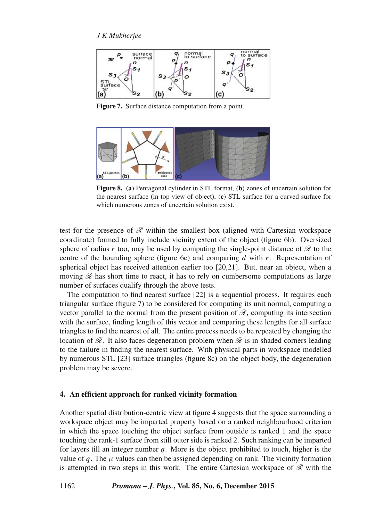

**Figure 7.** Surface distance computation from a point.



**Figure 8. (a**) Pentagonal cylinder in STL format, (**b**) zones of uncertain solution for the nearest surface (in top view of object), (**c**) STL surface for a curved surface for which numerous zones of uncertain solution exist.

test for the presence of  $\mathcal R$  within the smallest box (aligned with Cartesian workspace coordinate) formed to fully include vicinity extent of the object (figure 6b). Oversized sphere of radius r too, may be used by computing the single-point distance of  $\mathcal R$  to the centre of the bounding sphere (figure 6c) and comparing  $d$  with  $r$ . Representation of spherical object has received attention earlier too [20,21]. But, near an object, when a moving  $\mathscr R$  has short time to react, it has to rely on cumbersome computations as large number of surfaces qualify through the above tests.

The computation to find nearest surface [22] is a sequential process. It requires each triangular surface (figure 7) to be considered for computing its unit normal, computing a vector parallel to the normal from the present position of  $\mathcal{R}$ , computing its intersection with the surface, finding length of this vector and comparing these lengths for all surface triangles to find the nearest of all. The entire process needs to be repeated by changing the location of  $\mathcal R$ . It also faces degeneration problem when  $\mathcal R$  is in shaded corners leading to the failure in finding the nearest surface. With physical parts in workspace modelled by numerous STL [23] surface triangles (figure 8c) on the object body, the degeneration problem may be severe.

#### **4. An efficient approach for ranked vicinity formation**

Another spatial distribution-centric view at figure 4 suggests that the space surrounding a workspace object may be imparted property based on a ranked neighbourhood criterion in which the space touching the object surface from outside is ranked 1 and the space touching the rank-1 surface from still outer side is ranked 2. Such ranking can be imparted for layers till an integer number  $q$ . More is the object prohibited to touch, higher is the value of q. The  $\mu$  values can then be assigned depending on rank. The vicinity formation is attempted in two steps in this work. The entire Cartesian workspace of  $\mathcal R$  with the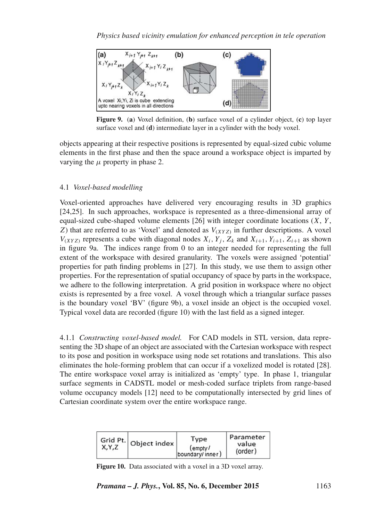

**Figure 9.** (**a**) Voxel definition, (**b**) surface voxel of a cylinder object, (**c**) top layer surface voxel and (**d**) intermediate layer in a cylinder with the body voxel.

objects appearing at their respective positions is represented by equal-sized cubic volume elements in the first phase and then the space around a workspace object is imparted by varying the  $\mu$  property in phase 2.

# 4.1 *Voxel-based modelling*

Voxel-oriented approaches have delivered very encouraging results in 3D graphics [24,25]. In such approaches, workspace is represented as a three-dimensional array of equal-sized cube-shaped volume elements  $[26]$  with integer coordinate locations  $(X, Y, \mathcal{E})$ Z) that are referred to as 'Voxel' and denoted as  $V_{(XYZ)}$  in further descriptions. A voxel  $V_{(XYZ)}$  represents a cube with diagonal nodes  $X_i, Y_j, Z_k$  and  $X_{i+1}, Y_{i+1}, Z_{i+1}$  as shown in figure 9a. The indices range from 0 to an integer needed for representing the full extent of the workspace with desired granularity. The voxels were assigned 'potential' properties for path finding problems in [27]. In this study, we use them to assign other properties. For the representation of spatial occupancy of space by parts in the workspace, we adhere to the following interpretation. A grid position in workspace where no object exists is represented by a free voxel. A voxel through which a triangular surface passes is the boundary voxel 'BV' (figure 9b), a voxel inside an object is the occupied voxel. Typical voxel data are recorded (figure 10) with the last field as a signed integer.

4.1.1 *Constructing* v*oxel-based model.* For CAD models in STL version, data representing the 3D shape of an object are associated with the Cartesian workspace with respect to its pose and position in workspace using node set rotations and translations. This also eliminates the hole-forming problem that can occur if a voxelized model is rotated [28]. The entire workspace voxel array is initialized as 'empty' type. In phase 1, triangular surface segments in CADSTL model or mesh-coded surface triplets from range-based volume occupancy models [12] need to be computationally intersected by grid lines of Cartesian coordinate system over the entire workspace range.

| X,Y,Z | Grid Pt. Object index | Type<br>$($ empty $/$<br>boundary/inner) | Parameter<br>value<br>(order) |
|-------|-----------------------|------------------------------------------|-------------------------------|
|-------|-----------------------|------------------------------------------|-------------------------------|

**Figure 10.** Data associated with a voxel in a 3D voxel array.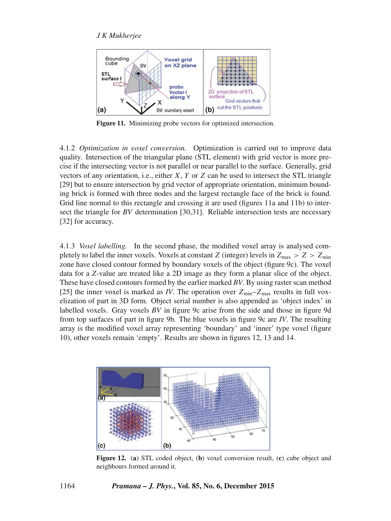

**Figure 11.** Minimizing probe vectors for optimized intersection.

4.1.2 *Optimization in* v*oxel con*v*ersion.* Optimization is carried out to improve data quality. Intersection of the triangular plane (STL element) with grid vector is more precise if the intersecting vector is not parallel or near parallel to the surface. Generally, grid vectors of any orientation, i.e., either  $X$ ,  $Y$  or  $Z$  can be used to intersect the STL triangle [29] but to ensure intersection by grid vector of appropriate orientation, minimum bounding brick is formed with three nodes and the largest rectangle face of the brick is found. Grid line normal to this rectangle and crossing it are used (figures 11a and 11b) to intersect the triangle for *BV* determination [30,31]. Reliable intersection tests are necessary [32] for accuracy.

4.1.3 *Voxel labelling.* In the second phase, the modified voxel array is analysed completely to label the inner voxels. Voxels at constant Z (integer) levels in  $Z_{\text{max}} > Z > Z_{\text{min}}$ zone have closed contour formed by boundary voxels of the object (figure 9c). The voxel data for a *Z*-value are treated like a 2D image as they form a planar slice of the object. These have closed contours formed by the earlier marked *BV*. By using raster scan method [25] the inner voxel is marked as *IV*. The operation over  $Z_{\text{min}} - Z_{\text{max}}$  results in full voxelization of part in 3D form. Object serial number is also appended as 'object index' in labelled voxels. Gray voxels *BV* in figure 9c arise from the side and those in figure 9d from top surfaces of part in figure 9b. The blue voxels in figure 9c are *IV*. The resulting array is the modified voxel array representing 'boundary' and 'inner' type voxel (figure 10), other voxels remain 'empty'. Results are shown in figures 12, 13 and 14.



**Figure 12.** (**a**) STL coded object, (**b**) voxel conversion result, (**c**) cube object and neighbours formed around it.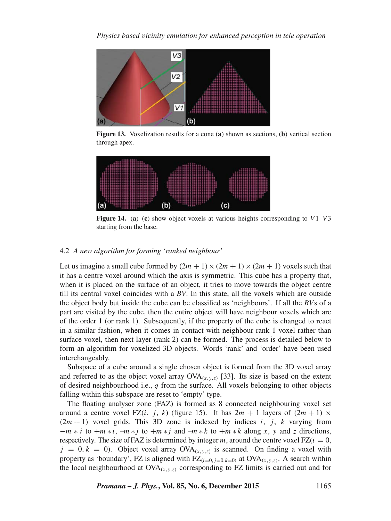

**Figure 13.** Voxelization results for a cone (**a**) shown as sections, (**b**) vertical section through apex.



**Figure 14.** (a)–(c) show object voxels at various heights corresponding to  $V1-V3$ starting from the base.

## 4.2 *A new algorithm for forming 'ranked neighbour'*

Let us imagine a small cube formed by  $(2m + 1) \times (2m + 1) \times (2m + 1)$  voxels such that it has a centre voxel around which the axis is symmetric. This cube has a property that, when it is placed on the surface of an object, it tries to move towards the object centre till its central voxel coincides with a *BV*. In this state, all the voxels which are outside the object body but inside the cube can be classified as 'neighbours'. If all the *BV*s of a part are visited by the cube, then the entire object will have neighbour voxels which are of the order 1 (or rank 1). Subsequently, if the property of the cube is changed to react in a similar fashion, when it comes in contact with neighbour rank 1 voxel rather than surface voxel, then next layer (rank 2) can be formed. The process is detailed below to form an algorithm for voxelized 3D objects. Words 'rank' and 'order' have been used interchangeably.

Subspace of a cube around a single chosen object is formed from the 3D voxel array and referred to as the object voxel array  $OVA_{(x,y,z)}$  [33]. Its size is based on the extent of desired neighbourhood i.e.,  $q$  from the surface. All voxels belonging to other objects falling within this subspace are reset to 'empty' type.

The floating analyser zone (FAZ) is formed as 8 connected neighbouring voxel set around a centre voxel FZ(i, j, k) (figure 15). It has  $2m + 1$  layers of  $(2m + 1) \times$  $(2m + 1)$  voxel grids. This 3D zone is indexed by indices i, j, k varying from  $-m * i$  to  $+m * i$ ,  $-m * j$  to  $+m * j$  and  $-m * k$  to  $+m * k$  along x, y and z directions, respectively. The size of FAZ is determined by integer m, around the centre voxel FZ( $i = 0$ ,  $j = 0, k = 0$ ). Object voxel array OVA<sub>(x,y,z)</sub> is scanned. On finding a voxel with property as 'boundary', FZ is aligned with  $FZ_{(i=0, j=0, k=0)}$  at  $OVA_{(x, y, z)}$ . A search within the local neighbourhood at  $OVA_{(x,y,z)}$  corresponding to FZ limits is carried out and for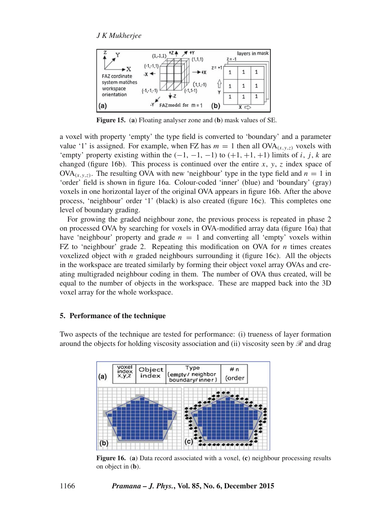

**Figure 15.** (**a**) Floating analyser zone and (**b**) mask values of SE.

a voxel with property 'empty' the type field is converted to 'boundary' and a parameter value '1' is assigned. For example, when FZ has  $m = 1$  then all  $OVA_{(x, y, z)}$  voxels with 'empty' property existing within the  $(-1, -1, -1)$  to  $(+1, +1, +1)$  limits of i, j, k are changed (figure 16b). This process is continued over the entire x, y, z index space of  $OVA_{(x,y,z)}$ . The resulting OVA with new 'neighbour' type in the type field and  $n = 1$  in 'order' field is shown in figure 16a. Colour-coded 'inner' (blue) and 'boundary' (gray) voxels in one horizontal layer of the original OVA appears in figure 16b. After the above process, 'neighbour' order '1' (black) is also created (figure 16c). This completes one level of boundary grading.

For growing the graded neighbour zone, the previous process is repeated in phase 2 on processed OVA by searching for voxels in OVA-modified array data (figure 16a) that have 'neighbour' property and grade  $n = 1$  and converting all 'empty' voxels within FZ to 'neighbour' grade 2. Repeating this modification on OVA for  $n$  times creates voxelized object with *n* graded neighbours surrounding it (figure 16c). All the objects in the workspace are treated similarly by forming their object voxel array OVAs and creating multigraded neighbour coding in them. The number of OVA thus created, will be equal to the number of objects in the workspace. These are mapped back into the 3D voxel array for the whole workspace.

#### **5. Performance of the technique**

Two aspects of the technique are tested for performance: (i) trueness of layer formation around the objects for holding viscosity association and (ii) viscosity seen by  $\mathscr R$  and drag



**Figure 16.** (**a**) Data record associated with a voxel, **(c**) neighbour processing results on object in (**b**).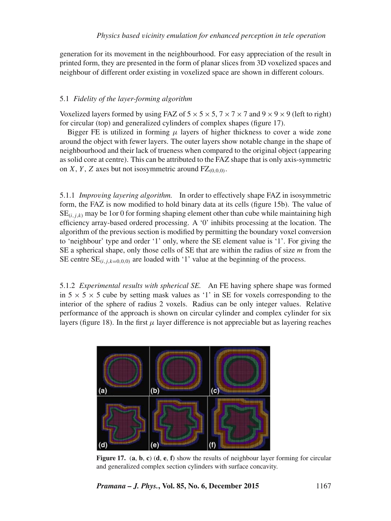generation for its movement in the neighbourhood. For easy appreciation of the result in printed form, they are presented in the form of planar slices from 3D voxelized spaces and neighbour of different order existing in voxelized space are shown in different colours.

# 5.1 *Fidelity of the layer-forming algorithm*

Voxelized layers formed by using FAZ of  $5 \times 5 \times 5$ ,  $7 \times 7 \times 7$  and  $9 \times 9 \times 9$  (left to right) for circular (top) and generalized cylinders of complex shapes (figure 17).

Bigger FE is utilized in forming  $\mu$  layers of higher thickness to cover a wide zone around the object with fewer layers. The outer layers show notable change in the shape of neighbourhood and their lack of trueness when compared to the original object (appearing as solid core at centre). This can be attributed to the FAZ shape that is only axis-symmetric on X, Y, Z axes but not isosymmetric around  $FZ_{(0,0,0)}$ .

5.1.1 *Impro*v*ing layering algorithm.* In order to effectively shape FAZ in isosymmetric form, the FAZ is now modified to hold binary data at its cells (figure 15b). The value of  $SE_{(i,j,k)}$  may be 1 or 0 for forming shaping element other than cube while maintaining high efficiency array-based ordered processing. A '0' inhibits processing at the location. The algorithm of the previous section is modified by permitting the boundary voxel conversion to 'neighbour' type and order '1' only, where the SE element value is '1'. For giving the SE a spherical shape, only those cells of SE that are within the radius of size  $m$  from the SE centre  $SE_{(i,j,k=0,0,0)}$  are loaded with '1' value at the beginning of the process.

5.1.2 *Experimental results with spherical SE.* An FE having sphere shape was formed in  $5 \times 5 \times 5$  cube by setting mask values as '1' in SE for voxels corresponding to the interior of the sphere of radius 2 voxels. Radius can be only integer values. Relative performance of the approach is shown on circular cylinder and complex cylinder for six layers (figure 18). In the first  $\mu$  layer difference is not appreciable but as layering reaches



**Figure 17.** (**a**, **b**, **c**) (**d**, **e**, **f**) show the results of neighbour layer forming for circular and generalized complex section cylinders with surface concavity.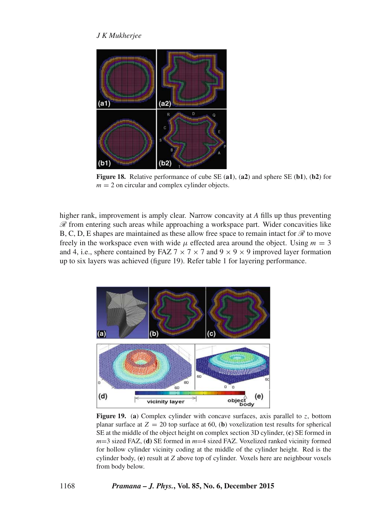

**Figure 18.** Relative performance of cube SE (**a1**), (**a2**) and sphere SE (**b1**), (**b2**) for  $m = 2$  on circular and complex cylinder objects.

higher rank, improvement is amply clear. Narrow concavity at *A* fills up thus preventing  $\mathscr R$  from entering such areas while approaching a workspace part. Wider concavities like B, C, D, E shapes are maintained as these allow free space to remain intact for  $\mathcal{R}$  to move freely in the workspace even with wide  $\mu$  effected area around the object. Using  $m = 3$ and 4, i.e., sphere contained by FAZ  $7 \times 7 \times 7$  and  $9 \times 9 \times 9$  improved layer formation up to six layers was achieved (figure 19). Refer table 1 for layering performance.



**Figure 19.** (a) Complex cylinder with concave surfaces, axis parallel to z, bottom planar surface at  $Z = 20$  top surface at 60, (**b**) voxelization test results for spherical SE at the middle of the object height on complex section 3D cylinder, (**c**) SE formed in *m*=3 sized FAZ, (**d)** SE formed in *m*=4 sized FAZ. Voxelized ranked vicinity formed for hollow cylinder vicinity coding at the middle of the cylinder height. Red is the cylinder body, (**e**) result at *Z* above top of cylinder. Voxels here are neighbour voxels from body below.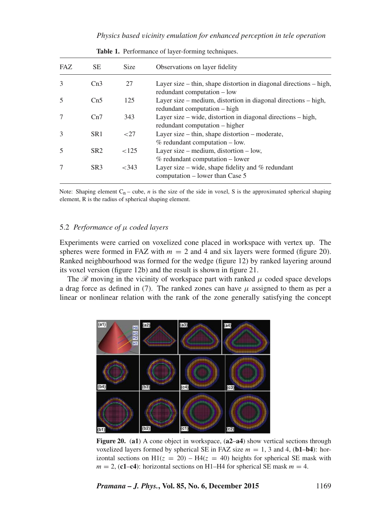### *Physics based* v*icinity emulation for enhanced perception in tele operation*

| FAZ.          | SE.             | Size     | Observations on layer fidelity                                                                        |
|---------------|-----------------|----------|-------------------------------------------------------------------------------------------------------|
| 3             | Cn3             | 27       | Layer size $-$ thin, shape distortion in diagonal directions $-$ high,<br>redundant computation - low |
| 5             | Cn5             | 125      | Layer size – medium, distortion in diagonal directions – high,<br>redundant computation – high        |
|               | Cn7             | 343      | Layer size – wide, distortion in diagonal directions – high,<br>redundant computation – higher        |
| $\mathcal{F}$ | SR <sub>1</sub> | ${<}27$  | Layer size $-$ thin, shape distortion $-$ moderate,<br>$%$ redundant computation $-$ low.             |
| 5             | SR <sub>2</sub> | ${<}125$ | Layer size – medium, distortion – low,<br>$%$ redundant computation – lower                           |
|               | SR <sub>3</sub> | <343     | Layer size – wide, shape fidelity and $%$ redundant<br>computation – lower than Case 5                |

**Table 1.** Performance of layer-forming techniques.

Note: Shaping element  $C_n$  – cube, *n* is the size of the side in voxel, S is the approximated spherical shaping element, R is the radius of spherical shaping element.

#### 5.2 *Performance of* μ *coded layers*

Experiments were carried on voxelized cone placed in workspace with vertex up. The spheres were formed in FAZ with  $m = 2$  and 4 and six layers were formed (figure 20). Ranked neighbourhood was formed for the wedge (figure 12) by ranked layering around its voxel version (figure 12b) and the result is shown in figure 21.

The  $\mathcal{R}$  moving in the vicinity of workspace part with ranked  $\mu$  coded space develops a drag force as defined in (7). The ranked zones can have  $\mu$  assigned to them as per a linear or nonlinear relation with the rank of the zone generally satisfying the concept



**Figure 20.** (**a1**) A cone object in workspace, (**a2**–**a4**) show vertical sections through voxelized layers formed by spherical SE in FAZ size  $m = 1, 3$  and 4, **: hor**izontal sections on  $H1(z = 20) - H4(z = 40)$  heights for spherical SE mask with  $m = 2$ , (c1–c4): horizontal sections on H1–H4 for spherical SE mask  $m = 4$ .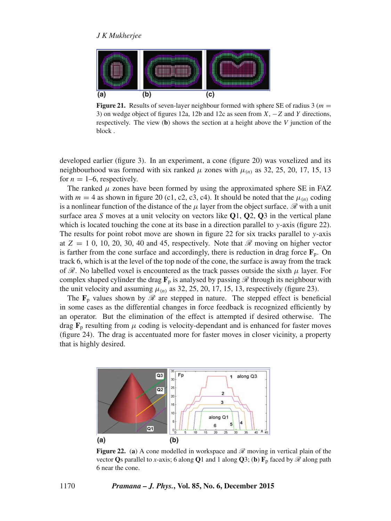

**Figure 21.** Results of seven-layer neighbour formed with sphere SE of radius 3 ( $m =$ 3) on wedge object of figures 12a, 12b and 12c as seen from  $X, -Z$  and Y directions, respectively. The view (**b**) shows the section at a height above the *V* junction of the block .

developed earlier (figure 3). In an experiment, a cone (figure 20) was voxelized and its neighbourhood was formed with six ranked  $\mu$  zones with  $\mu_{(n)}$  as 32, 25, 20, 17, 15, 13 for  $n = 1-6$ , respectively.

The ranked  $\mu$  zones have been formed by using the approximated sphere SE in FAZ with  $m = 4$  as shown in figure 20 (c1, c2, c3, c4). It should be noted that the  $\mu_{(n)}$  coding is a nonlinear function of the distance of the  $\mu$  layer from the object surface.  $\mathscr R$  with a unit surface area S moves at a unit velocity on vectors like **Q**1, **Q**2, **Q**3 in the vertical plane which is located touching the cone at its base in a direction parallel to y-axis (figure 22). The results for point robot move are shown in figure 22 for six tracks parallel to  $y$ -axis at  $Z = 1, 0, 10, 20, 30, 40, 40, 45$ , respectively. Note that  $\mathcal{R}$  moving on higher vector is farther from the cone surface and accordingly, there is reduction in drag force  $\mathbf{F}_{\text{p}}$ . On track 6, which is at the level of the top node of the cone, the surface is away from the track of  $\mathcal{R}$ . No labelled voxel is encountered as the track passes outside the sixth  $\mu$  layer. For complex shaped cylinder the drag  $\mathbf{F}_p$  is analysed by passing  $\mathscr R$  through its neighbour with the unit velocity and assuming  $\mu_{(n)}$  as 32, 25, 20, 17, 15, 13, respectively (figure 23).

The  $\mathbf{F}_p$  values shown by  $\mathcal{R}$  are stepped in nature. The stepped effect is beneficial in some cases as the differential changes in force feedback is recognized efficiently by an operator. But the elimination of the effect is attempted if desired otherwise. The drag  $\mathbf{F}_p$  resulting from  $\mu$  coding is velocity-dependant and is enhanced for faster moves (figure 24). The drag is accentuated more for faster moves in closer vicinity, a property that is highly desired.



**Figure 22.** (a) A cone modelled in workspace and  $\mathscr R$  moving in vertical plain of the vector **Q**s parallel to *x*-axis; 6 along **Q**1 and 1 along **Q**3; (**b**)  $\mathbf{F}_p$  faced by  $\mathcal{R}$  along path 6 near the cone.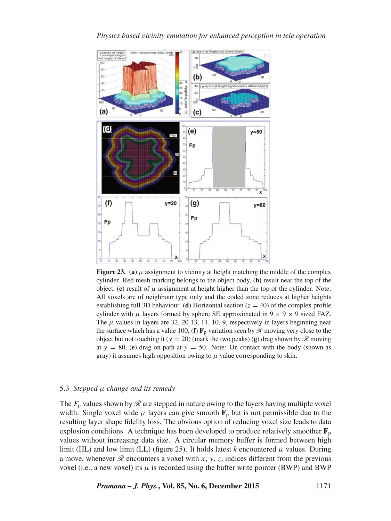

**Figure 23.** (a)  $\mu$  assignment to vicinity at height matching the middle of the complex cylinder. Red mesh marking belongs to the object body, (**b)** result near the top of the object,  $(c)$  result of  $\mu$  assignment at height higher than the top of the cylinder. Note: All voxels are of neighbour type only and the coded zone reduces at higher heights establishing full 3D behaviour. (**d**) Horizontal section ( $z = 40$ ) of the complex profile cylinder with  $\mu$  layers formed by sphere SE approximated in 9  $\times$  9  $\times$  9 sized FAZ. The  $\mu$  values in layers are 32, 20 13, 11, 10, 9, respectively in layers beginning near the surface which has a value 100, (**f**)  $\mathbf{F}_p$  variation seen by  $\mathcal{R}$  moving very close to the object but not touching it ( $y = 20$ ) (mark the two peaks) (g) drag shown by  $\mathscr R$  moving at  $y = 80$ , (e) drag on path at  $y = 50$ . Note: On contact with the body (shown as gray) it assumes high opposition owing to  $\mu$  value corresponding to skin.

## 5.3 *Stepped* μ *change and its remedy*

The  $F_p$  values shown by  $\mathscr R$  are stepped in nature owing to the layers having multiple voxel width. Single voxel wide  $\mu$  layers can give smooth  $\mathbf{F}_p$  but is not permissible due to the resulting layer shape fidelity loss. The obvious option of reducing voxel size leads to data explosion conditions. A technique has been developed to produce relatively smoother  $\mathbf{F}_p$ values without increasing data size. A circular memory buffer is formed between high limit (HL) and low limit (LL) (figure 25). It holds latest  $k$  encountered  $\mu$  values. During a move, whenever  $\mathcal R$  encounters a voxel with x, y, z, indices different from the previous voxel (i.e., a new voxel) its  $\mu$  is recorded using the buffer write pointer (BWP) and BWP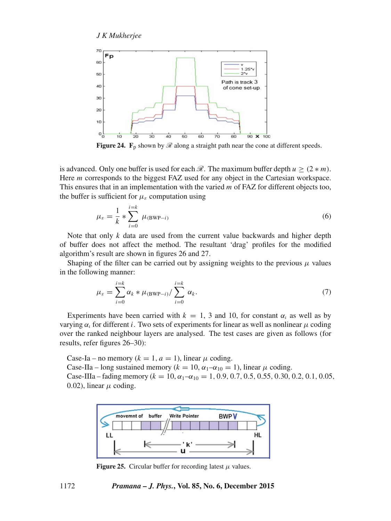

**Figure 24.** F<sub>p</sub> shown by  $\mathscr R$  along a straight path near the cone at different speeds.

is advanced. Only one buffer is used for each  $\mathcal{R}$ . The maximum buffer depth  $u > (2 * m)$ . Here m corresponds to the biggest FAZ used for any object in the Cartesian workspace. This ensures that in an implementation with the varied m of FAZ for different objects too, the buffer is sufficient for  $\mu_{\varepsilon}$  computation using

$$
\mu_{\varepsilon} = \frac{1}{k} * \sum_{i=0}^{i=k} \mu_{(\text{BWP}-i)} \tag{6}
$$

Note that only  $k$  data are used from the current value backwards and higher depth of buffer does not affect the method. The resultant 'drag' profiles for the modified algorithm's result are shown in figures 26 and 27.

Shaping of the filter can be carried out by assigning weights to the previous  $\mu$  values in the following manner:

$$
\mu_{\varepsilon} = \sum_{i=0}^{i=k} \alpha_k * \mu_{\text{(BWP}-i)} / \sum_{i=0}^{i=k} \alpha_k.
$$
\n(7)

Experiments have been carried with  $k = 1, 3$  and 10, for constant  $\alpha_i$  as well as by varying  $α<sub>i</sub>$  for different *i*. Two sets of experiments for linear as well as nonlinear  $μ$  coding over the ranked neighbour layers are analysed. The test cases are given as follows (for results, refer figures 26–30):

Case-Ia – no memory ( $k = 1, a = 1$ ), linear  $\mu$  coding.

Case-IIa – long sustained memory ( $k = 10$ ,  $\alpha_1 - \alpha_{10} = 1$ ), linear  $\mu$  coding.

Case-IIIa – fading memory ( $k = 10$ ,  $\alpha_1 - \alpha_{10} = 1$ , 0.9, 0.7, 0.5, 0.55, 0.30, 0.2, 0.1, 0.05, 0.02), linear  $\mu$  coding.



**Figure 25.** Circular buffer for recording latest  $\mu$  values.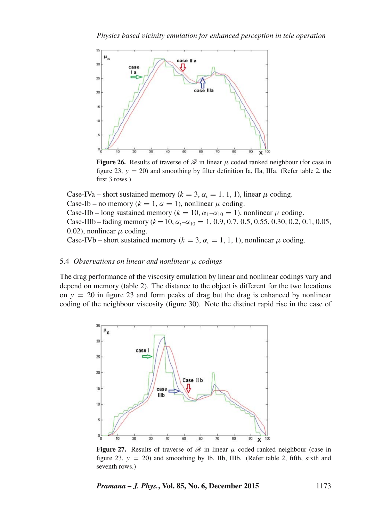

**Figure 26.** Results of traverse of  $\mathcal{R}$  in linear  $\mu$  coded ranked neighbour (for case in figure 23,  $y = 20$ ) and smoothing by filter definition Ia, IIa, IIIa. (Refer table 2, the first 3 rows.)

Case-IVa – short sustained memory ( $k = 3$ ,  $\alpha_k = 1, 1, 1$ ), linear  $\mu$  coding. Case-Ib – no memory ( $k = 1$ ,  $\alpha = 1$ ), nonlinear  $\mu$  coding. Case-IIb – long sustained memory ( $k = 10$ ,  $\alpha_1 - \alpha_{10} = 1$ ), nonlinear  $\mu$  coding. Case-IIIb – fading memory ( $k=10$ ,  $\alpha_1-\alpha_{10} = 1$ , 0.9, 0.7, 0.5, 0.55, 0.30, 0.2, 0.1, 0.05, 0.02), nonlinear  $\mu$  coding.

# Case-IVb – short sustained memory ( $k = 3$ ,  $\alpha_k = 1, 1, 1$ ), nonlinear  $\mu$  coding.

#### 5.4 *Obser*v*ations on linear and nonlinear* μ *codings*

The drag performance of the viscosity emulation by linear and nonlinear codings vary and depend on memory (table 2). The distance to the object is different for the two locations on  $y = 20$  in figure 23 and form peaks of drag but the drag is enhanced by nonlinear coding of the neighbour viscosity (figure 30). Note the distinct rapid rise in the case of



**Figure 27.** Results of traverse of  $\mathcal{R}$  in linear  $\mu$  coded ranked neighbour (case in figure 23,  $y = 20$ ) and smoothing by Ib, IIb, IIIb. (Refer table 2, fifth, sixth and seventh rows.)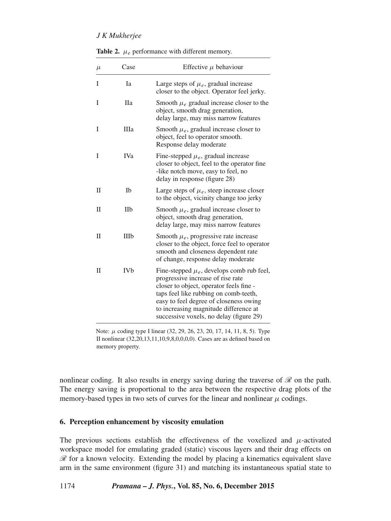| $\mu$ | Case       | Effective $\mu$ behaviour                                                                                                                                                                                                                                                                             |
|-------|------------|-------------------------------------------------------------------------------------------------------------------------------------------------------------------------------------------------------------------------------------------------------------------------------------------------------|
| I     | Ia         | Large steps of $\mu_e$ , gradual increase<br>closer to the object. Operator feel jerky.                                                                                                                                                                                                               |
| I     | Пa         | Smooth $\mu_e$ gradual increase closer to the<br>object, smooth drag generation,<br>delay large, may miss narrow features                                                                                                                                                                             |
| I     | Шa         | Smooth $\mu_e$ , gradual increase closer to<br>object, feel to operator smooth.<br>Response delay moderate                                                                                                                                                                                            |
| T     | IVa        | Fine-stepped $\mu_e$ , gradual increase<br>closer to object, feel to the operator fine<br>-like notch move, easy to feel, no<br>delay in response (figure 28)                                                                                                                                         |
| П     | Ib         | Large steps of $\mu_e$ , steep increase closer<br>to the object, vicinity change too jerky                                                                                                                                                                                                            |
| П     | IIb        | Smooth $\mu_e$ , gradual increase closer to<br>object, smooth drag generation,<br>delay large, may miss narrow features                                                                                                                                                                               |
| П     | IIIb       | Smooth $\mu_e$ , progressive rate increase<br>closer to the object, force feel to operator<br>smooth and closeness dependent rate<br>of change, response delay moderate                                                                                                                               |
| П     | <b>IVb</b> | Fine-stepped $\mu_e$ , develops comb rub feel,<br>progressive increase of rise rate<br>closer to object, operator feels fine -<br>taps feel like rubbing on comb-teeth,<br>easy to feel degree of closeness owing<br>to increasing magnitude difference at<br>successive voxels, no delay (figure 29) |

**Table 2.**  $\mu_e$  performance with different memory.

Note:  $\mu$  coding type I linear (32, 29, 26, 23, 20, 17, 14, 11, 8, 5). Type II nonlinear (32,20,13,11,10,9,8,0,0,0,0). Cases are as defined based on memory property.

nonlinear coding. It also results in energy saving during the traverse of  $\mathcal{R}$  on the path. The energy saving is proportional to the area between the respective drag plots of the memory-based types in two sets of curves for the linear and nonlinear  $\mu$  codings.

# **6. Perception enhancement by viscosity emulation**

The previous sections establish the effectiveness of the voxelized and  $\mu$ -activated workspace model for emulating graded (static) viscous layers and their drag effects on  $\mathscr R$  for a known velocity. Extending the model by placing a kinematics equivalent slave arm in the same environment (figure 31) and matching its instantaneous spatial state to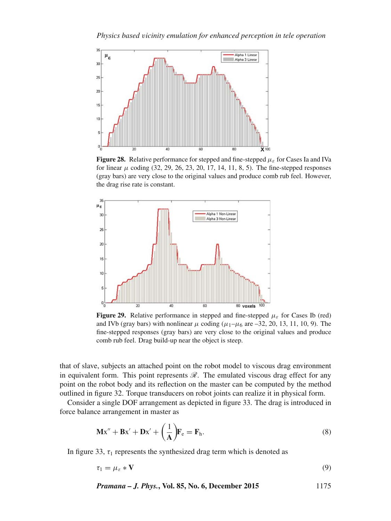

**Figure 28.** Relative performance for stepped and fine-stepped  $\mu_{\varepsilon}$  for Cases Ia and IVa for linear  $\mu$  coding (32, 29, 26, 23, 20, 17, 14, 11, 8, 5). The fine-stepped responses (gray bars) are very close to the original values and produce comb rub feel. However, the drag rise rate is constant.



**Figure 29.** Relative performance in stepped and fine-stepped  $\mu_{\varepsilon}$  for Cases Ib (red) and IVb (gray bars) with nonlinear  $\mu$  coding ( $\mu_1-\mu_6$  are -32, 20, 13, 11, 10, 9). The fine-stepped responses (gray bars) are very close to the original values and produce comb rub feel. Drag build-up near the object is steep.

that of slave, subjects an attached point on the robot model to viscous drag environment in equivalent form. This point represents  $\mathcal{R}$ . The emulated viscous drag effect for any point on the robot body and its reflection on the master can be computed by the method outlined in figure 32. Torque transducers on robot joints can realize it in physical form.

Consider a single DOF arrangement as depicted in figure 33. The drag is introduced in force balance arrangement in master as

$$
\mathbf{Mx}'' + \mathbf{Bx}' + \mathbf{Dx}' + \left(\frac{1}{\mathbf{A}}\right)\mathbf{F}_e = \mathbf{F}_h.
$$
 (8)

In figure 33,  $\tau_1$  represents the synthesized drag term which is denoted as

$$
\tau_1 = \mu_{\varepsilon} * \mathbf{V} \tag{9}
$$

*Pramana – J. Phys.***, Vol. 85, No. 6, December 2015** 1175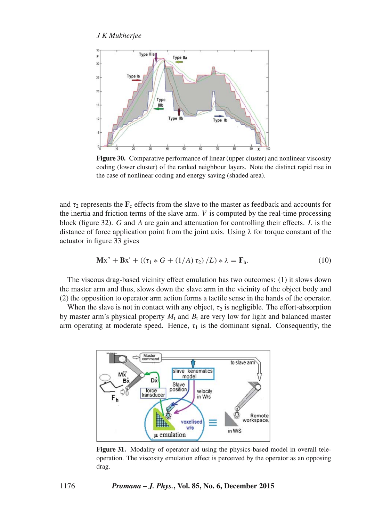

**Figure 30.** Comparative performance of linear (upper cluster) and nonlinear viscosity coding (lower cluster) of the ranked neighbour layers. Note the distinct rapid rise in the case of nonlinear coding and energy saving (shaded area).

and  $\tau_2$  represents the  $\mathbf{F}_e$  effects from the slave to the master as feedback and accounts for the inertia and friction terms of the slave arm.  $V$  is computed by the real-time processing block (figure 32).  $G$  and  $A$  are gain and attenuation for controlling their effects.  $L$  is the distance of force application point from the joint axis. Using  $\lambda$  for torque constant of the actuator in figure 33 gives

$$
\mathbf{Mx}'' + \mathbf{Bx}' + ((\tau_1 * G + (1/A) \tau_2) / L) * \lambda = \mathbf{F}_h.
$$
 (10)

The viscous drag-based vicinity effect emulation has two outcomes: (1) it slows down the master arm and thus, slows down the slave arm in the vicinity of the object body and (2) the opposition to operator arm action forms a tactile sense in the hands of the operator.

When the slave is not in contact with any object,  $\tau_2$  is negligible. The effort-absorption by master arm's physical property  $M_t$  and  $B_t$  are very low for light and balanced master arm operating at moderate speed. Hence,  $\tau_1$  is the dominant signal. Consequently, the



**Figure 31.** Modality of operator aid using the physics-based model in overall teleoperation. The viscosity emulation effect is perceived by the operator as an opposing drag.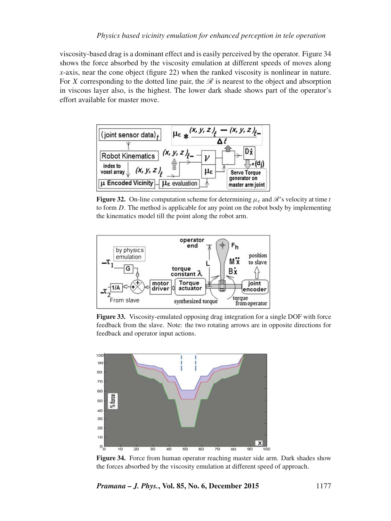viscosity-based drag is a dominant effect and is easily perceived by the operator. Figure 34 shows the force absorbed by the viscosity emulation at different speeds of moves along *x*-axis, near the cone object (figure 22) when the ranked viscosity is nonlinear in nature. For X corresponding to the dotted line pair, the  $\mathcal R$  is nearest to the object and absorption in viscous layer also, is the highest. The lower dark shade shows part of the operator's effort available for master move.



**Figure 32.** On-line computation scheme for determining  $\mu_{\varepsilon}$  and  $\mathscr{R}$ 's velocity at time t to form D. The method is applicable for any point on the robot body by implementing the kinematics model till the point along the robot arm.



**Figure 33.** Viscosity-emulated opposing drag integration for a single DOF with force feedback from the slave. Note: the two rotating arrows are in opposite directions for feedback and operator input actions.



**Figure 34.** Force from human operator reaching master side arm. Dark shades show the forces absorbed by the viscosity emulation at different speed of approach.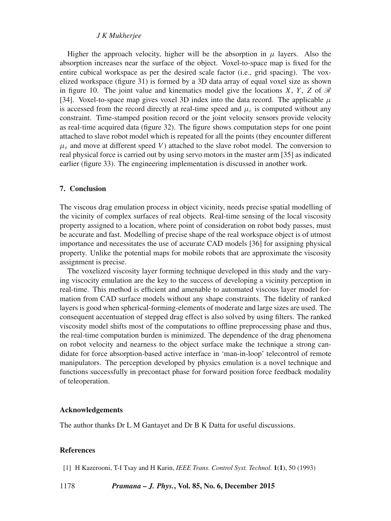Higher the approach velocity, higher will be the absorption in  $\mu$  layers. Also the absorption increases near the surface of the object. Voxel-to-space map is fixed for the entire cubical workspace as per the desired scale factor (i.e., grid spacing). The voxelized workspace (figure 31) is formed by a 3D data array of equal voxel size as shown in figure 10. The joint value and kinematics model give the locations X, Y, Z of  $\mathcal R$ [34]. Voxel-to-space map gives voxel 3D index into the data record. The applicable  $\mu$ is accessed from the record directly at real-time speed and  $\mu_{\varepsilon}$  is computed without any constraint. Time-stamped position record or the joint velocity sensors provide velocity as real-time acquired data (figure 32). The figure shows computation steps for one point attached to slave robot model which is repeated for all the points (they encounter different  $\mu_{\varepsilon}$  and move at different speed V) attached to the slave robot model. The conversion to real physical force is carried out by using servo motors in the master arm [35] as indicated earlier (figure 33). The engineering implementation is discussed in another work.

# **7. Conclusion**

The viscous drag emulation process in object vicinity, needs precise spatial modelling of the vicinity of complex surfaces of real objects. Real-time sensing of the local viscosity property assigned to a location, where point of consideration on robot body passes, must be accurate and fast. Modelling of precise shape of the real workspace object is of utmost importance and necessitates the use of accurate CAD models [36] for assigning physical property. Unlike the potential maps for mobile robots that are approximate the viscosity assignment is precise.

The voxelized viscosity layer forming technique developed in this study and the varying viscocity emulation are the key to the success of developing a vicinity perception in real-time. This method is efficient and amenable to automated viscous layer model formation from CAD surface models without any shape constraints. The fidelity of ranked layers is good when spherical-forming-elements of moderate and large sizes are used. The consequent accentuation of stepped drag effect is also solved by using filters. The ranked viscosity model shifts most of the computations to offline preprocessing phase and thus, the real-time computation burden is minimized. The dependence of the drag phenomena on robot velocity and nearness to the object surface make the technique a strong candidate for force absorption-based active interface in 'man-in-loop' telecontrol of remote manipulators. The perception developed by physics emulation is a novel technique and functions successfully in precontact phase for forward position force feedback modality of teleoperation.

#### **Acknowledgements**

The author thanks Dr L M Gantayet and Dr B K Datta for useful discussions.

#### **References**

[1] H Kazerooni, T-I Tsay and H Karin, *IEEE Trans. Control Syst. Technol.* **1**(**1**), 50 (1993)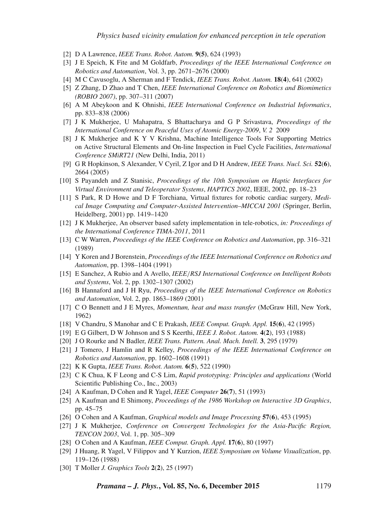- [2] D A Lawrence, *IEEE Trans. Robot. Autom.* **9(5)**, 624 (1993)
- [3] J E Speich, K Fite and M Goldfarb, *Proceedings of the IEEE International Conference on Robotics and Automation*, Vol. 3, pp. 2671–2676 (2000)
- [4] M C Cavusoglu, A Sherman and F Tendick, *IEEE Trans. Robot. Autom.* **18**(**4**), 641 (2002)
- [5] Z Zhang, D Zhao and T Chen, *IEEE International Conference on Robotics and Biomimetics (ROBIO 2007)*, pp. 307–311 (2007)
- [6] A M Abeykoon and K Ohnishi, *IEEE International Conference on Industrial Informatics*, pp. 833–838 (2006)
- [7] J K Mukherjee, U Mahapatra, S Bhattacharya and G P Srivastava, *Proceedings of the International Conference on Peaceful Uses of Atomic Energy-2009*, *V. 2* 2009
- [8] J K Mukherjee and K Y V Krishna, Machine Intelligence Tools For Supporting Metrics on Active Structural Elements and On-line Inspection in Fuel Cycle Facilities, *International Conference SMiRT21* (New Delhi, India, 2011)
- [9] G R Hopkinson, S Alexander, V Cyril, Z Igor and D H Andrew, *IEEE Trans. Nucl. Sci.* **52**(**6**), 2664 (2005)
- [10] S Payandeh and Z Stanisic, *Proceedings of the 10th Symposium on Haptic Interfaces for Virtual En*v*ironment and Teleoperator Systems*, *HAPTICS 2002*, IEEE, 2002, pp. 18–23
- [11] S Park, R D Howe and D F Torchiana, Virtual fixtures for robotic cardiac surgery, *Medical Image Computing and Computer-Assisted Inter*v*ention–MICCAI 2001* (Springer, Berlin, Heidelberg, 2001) pp. 1419–1420
- [12] J K Mukherjee, An observer based safety implementation in tele-robotics, *in: Proceedings of the International Conference TIMA-2011*, 2011
- [13] C W Warren, *Proceedings of the IEEE Conference on Robotics and Automation*, pp. 316–321 (1989)
- [14] Y Koren and J Borenstein, *Proceedings of the IEEE International Conference on Robotics and Automation*, pp. 1398–1404 (1991)
- [15] E Sanchez, A Rubio and A Avello, *IEEE*/*RSJ International Conference on Intelligent Robots and Systems*, Vol. 2, pp. 1302–1307 (2002)
- [16] B Hannaford and J H Ryu, *Proceedings of the IEEE International Conference on Robotics and Automation*, Vol. 2, pp. 1863–1869 (2001)
- [17] C O Bennett and J E Myres, *Momentum, heat and mass transfer* (McGraw Hill, New York, 1962)
- [18] V Chandru, S Manohar and C E Prakash, *IEEE Comput. Graph. Appl.* **15**(**6**), 42 (1995)
- [19] E G Gilbert, D W Johnson and S S Keerthi, *IEEE J. Robot. Autom.* **4**(**2**), 193 (1988)
- [20] J O Rourke and N Badler, *IEEE Trans. Pattern. Anal. Mach. Intell.* **3**, 295 (1979)
- [21] J Tomero, J Hamlin and R Kelley, *Proceedings of the IEEE International Conference on Robotics and Automation*, pp. 1602–1608 (1991)
- [22] K K Gupta, *IEEE Trans. Robot. Autom.* **6**(**5**), 522 (1990)
- [23] C K Chua, K F Leong and C-S Lim, *Rapid prototyping: Principles and applications* (World Scientific Publishing Co., Inc., 2003)
- [24] A Kaufman, D Cohen and R Yagel, *IEEE Computer* **26**(**7**), 51 (1993)
- [25] A Kaufman and E Shimony, *Proceedings of the 1986 Workshop on Interacti*v*e 3D Graphics*, pp. 45–75
- [26] O Cohen and A Kaufman, *Graphical models and Image Processing* **57**(**6**), 453 (1995)
- [27] J K Mukherjee, *Conference on Con*v*ergent Technologies for the Asia-Pacific Region, TENCON 2003*, Vol. 1, pp. 305–309
- [28] O Cohen and A Kaufman, *IEEE Comput. Graph. Appl.* **17**(**6**), 80 (1997)
- [29] J Huang, R Yagel, V Filippov and Y Kurzion, *IEEE Symposium on Volume Visualization*, pp. 119–126 (1988)
- [30] T Moller *J. Graphics Tools* **2**(**2**), 25 (1997)